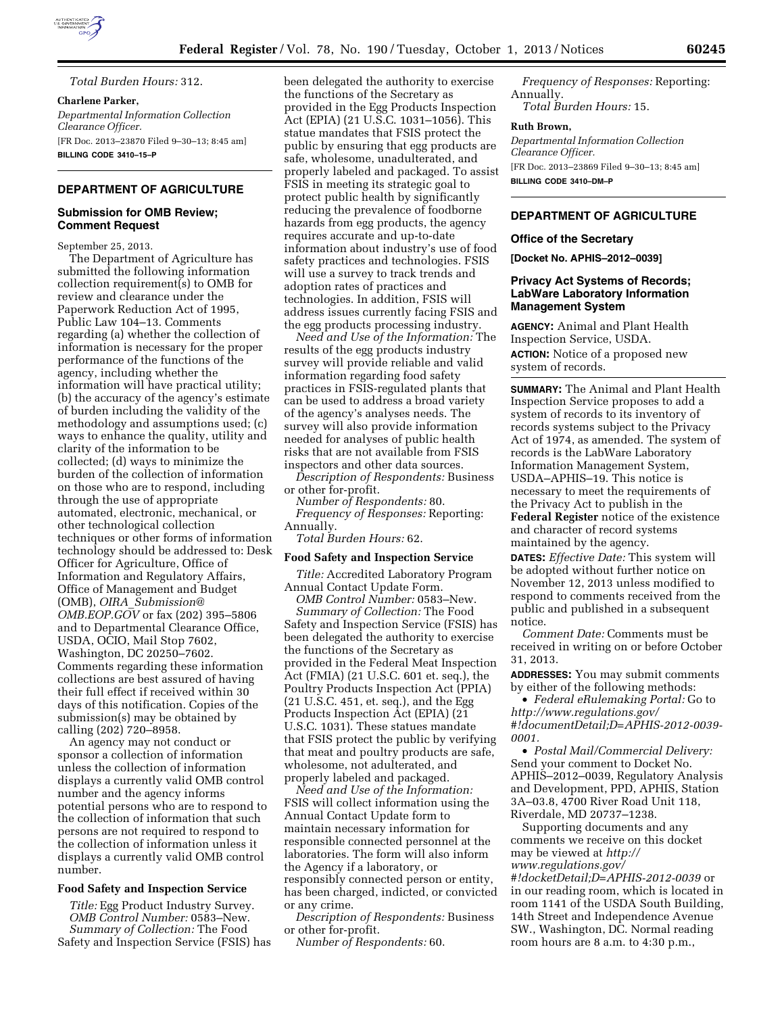

*Total Burden Hours:* 312.

**Charlene Parker,**  *Departmental Information Collection Clearance Officer.*  [FR Doc. 2013–23870 Filed 9–30–13; 8:45 am] **BILLING CODE 3410–15–P** 

# **DEPARTMENT OF AGRICULTURE**

# **Submission for OMB Review; Comment Request**

September 25, 2013.

The Department of Agriculture has submitted the following information collection requirement(s) to OMB for review and clearance under the Paperwork Reduction Act of 1995, Public Law 104–13. Comments regarding (a) whether the collection of information is necessary for the proper performance of the functions of the agency, including whether the information will have practical utility; (b) the accuracy of the agency's estimate of burden including the validity of the methodology and assumptions used; (c) ways to enhance the quality, utility and clarity of the information to be collected; (d) ways to minimize the burden of the collection of information on those who are to respond, including through the use of appropriate automated, electronic, mechanical, or other technological collection techniques or other forms of information technology should be addressed to: Desk Officer for Agriculture, Office of Information and Regulatory Affairs, Office of Management and Budget (OMB), *OIRA*\_*[Submission@](mailto:OIRA_Submission@OMB.EOP.GOV) [OMB.EOP.GOV](mailto:OIRA_Submission@OMB.EOP.GOV)* or fax (202) 395–5806 and to Departmental Clearance Office, USDA, OCIO, Mail Stop 7602, Washington, DC 20250–7602. Comments regarding these information collections are best assured of having their full effect if received within 30 days of this notification. Copies of the submission(s) may be obtained by calling (202) 720–8958.

An agency may not conduct or sponsor a collection of information unless the collection of information displays a currently valid OMB control number and the agency informs potential persons who are to respond to the collection of information that such persons are not required to respond to the collection of information unless it displays a currently valid OMB control number.

# **Food Safety and Inspection Service**

*Title:* Egg Product Industry Survey. *OMB Control Number:* 0583–New. *Summary of Collection:* The Food Safety and Inspection Service (FSIS) has

been delegated the authority to exercise the functions of the Secretary as provided in the Egg Products Inspection Act (EPIA) (21 U.S.C. 1031–1056). This statue mandates that FSIS protect the public by ensuring that egg products are safe, wholesome, unadulterated, and properly labeled and packaged. To assist FSIS in meeting its strategic goal to protect public health by significantly reducing the prevalence of foodborne hazards from egg products, the agency requires accurate and up-to-date information about industry's use of food safety practices and technologies. FSIS will use a survey to track trends and adoption rates of practices and technologies. In addition, FSIS will address issues currently facing FSIS and the egg products processing industry.

*Need and Use of the Information:* The results of the egg products industry survey will provide reliable and valid information regarding food safety practices in FSIS-regulated plants that can be used to address a broad variety of the agency's analyses needs. The survey will also provide information needed for analyses of public health risks that are not available from FSIS inspectors and other data sources.

*Description of Respondents:* Business or other for-profit.

*Number of Respondents:* 80. *Frequency of Responses:* Reporting:

Annually.

*Total Burden Hours:* 62.

# **Food Safety and Inspection Service**

*Title:* Accredited Laboratory Program Annual Contact Update Form.

*OMB Control Number:* 0583–New. *Summary of Collection:* The Food Safety and Inspection Service (FSIS) has been delegated the authority to exercise the functions of the Secretary as provided in the Federal Meat Inspection Act (FMIA) (21 U.S.C. 601 et. seq.), the Poultry Products Inspection Act (PPIA) (21 U.S.C. 451, et. seq.), and the Egg Products Inspection Act (EPIA) (21 U.S.C. 1031). These statues mandate that FSIS protect the public by verifying that meat and poultry products are safe, wholesome, not adulterated, and properly labeled and packaged.

*Need and Use of the Information:*  FSIS will collect information using the Annual Contact Update form to maintain necessary information for responsible connected personnel at the laboratories. The form will also inform the Agency if a laboratory, or responsibly connected person or entity, has been charged, indicted, or convicted or any crime.

*Description of Respondents:* Business or other for-profit.

*Number of Respondents:* 60.

*Frequency of Responses:* Reporting: Annually. *Total Burden Hours:* 15.

#### **Ruth Brown,**

*Departmental Information Collection Clearance Officer.*  [FR Doc. 2013–23869 Filed 9–30–13; 8:45 am] **BILLING CODE 3410–DM–P** 

# **DEPARTMENT OF AGRICULTURE**

## **Office of the Secretary**

**[Docket No. APHIS–2012–0039]** 

# **Privacy Act Systems of Records; LabWare Laboratory Information Management System**

**AGENCY:** Animal and Plant Health Inspection Service, USDA.

**ACTION:** Notice of a proposed new system of records.

**SUMMARY:** The Animal and Plant Health Inspection Service proposes to add a system of records to its inventory of records systems subject to the Privacy Act of 1974, as amended. The system of records is the LabWare Laboratory Information Management System, USDA–APHIS–19. This notice is necessary to meet the requirements of the Privacy Act to publish in the **Federal Register** notice of the existence and character of record systems maintained by the agency.

**DATES:** *Effective Date:* This system will be adopted without further notice on November 12, 2013 unless modified to respond to comments received from the public and published in a subsequent notice.

*Comment Date:* Comments must be received in writing on or before October 31, 2013.

**ADDRESSES:** You may submit comments by either of the following methods:

• *Federal eRulemaking Portal:* Go to *[http://www.regulations.gov/](http://www.regulations.gov/#!documentDetail;D=APHIS-2012-0039-0001) [#!documentDetail;D=APHIS-2012-0039-](http://www.regulations.gov/#!documentDetail;D=APHIS-2012-0039-0001) [0001.](http://www.regulations.gov/#!documentDetail;D=APHIS-2012-0039-0001)* 

• *Postal Mail/Commercial Delivery:*  Send your comment to Docket No. APHIS–2012–0039, Regulatory Analysis and Development, PPD, APHIS, Station 3A–03.8, 4700 River Road Unit 118, Riverdale, MD 20737–1238.

Supporting documents and any comments we receive on this docket may be viewed at *[http://](http://www.regulations.gov/#!docketDetail;D=APHIS-2012-0039) [www.regulations.gov/](http://www.regulations.gov/#!docketDetail;D=APHIS-2012-0039) [#!docketDetail;D=APHIS-2012-0039](http://www.regulations.gov/#!docketDetail;D=APHIS-2012-0039)* or in our reading room, which is located in room 1141 of the USDA South Building,

14th Street and Independence Avenue SW., Washington, DC. Normal reading room hours are 8 a.m. to 4:30 p.m.,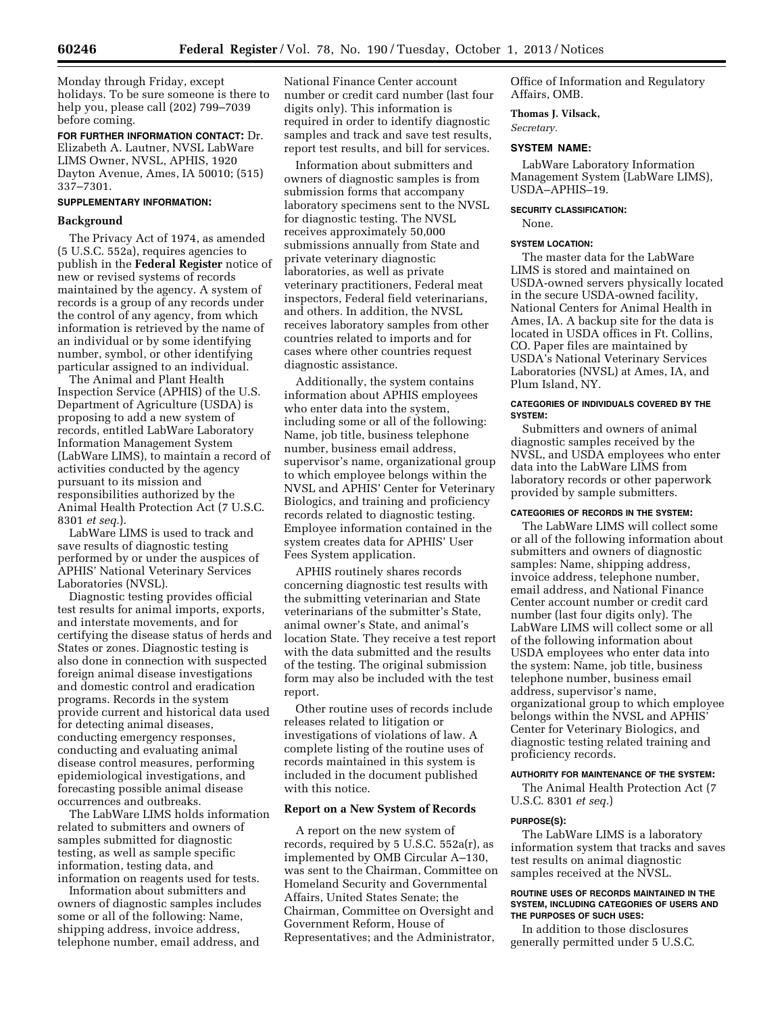Monday through Friday, except holidays. To be sure someone is there to help you, please call (202) 799–7039 before coming.

**FOR FURTHER INFORMATION CONTACT:** Dr. Elizabeth A. Lautner, NVSL LabWare LIMS Owner, NVSL, APHIS, 1920 Dayton Avenue, Ames, IA 50010; (515) 337–7301.

# **SUPPLEMENTARY INFORMATION:**

### **Background**

The Privacy Act of 1974, as amended (5 U.S.C. 552a), requires agencies to publish in the **Federal Register** notice of new or revised systems of records maintained by the agency. A system of records is a group of any records under the control of any agency, from which information is retrieved by the name of an individual or by some identifying number, symbol, or other identifying particular assigned to an individual.

The Animal and Plant Health Inspection Service (APHIS) of the U.S. Department of Agriculture (USDA) is proposing to add a new system of records, entitled LabWare Laboratory Information Management System (LabWare LIMS), to maintain a record of activities conducted by the agency pursuant to its mission and responsibilities authorized by the Animal Health Protection Act (7 U.S.C. 8301 *et seq.*).

LabWare LIMS is used to track and save results of diagnostic testing performed by or under the auspices of APHIS' National Veterinary Services Laboratories (NVSL).

Diagnostic testing provides official test results for animal imports, exports, and interstate movements, and for certifying the disease status of herds and States or zones. Diagnostic testing is also done in connection with suspected foreign animal disease investigations and domestic control and eradication programs. Records in the system provide current and historical data used for detecting animal diseases, conducting emergency responses, conducting and evaluating animal disease control measures, performing epidemiological investigations, and forecasting possible animal disease occurrences and outbreaks.

The LabWare LIMS holds information related to submitters and owners of samples submitted for diagnostic testing, as well as sample specific information, testing data, and information on reagents used for tests.

Information about submitters and owners of diagnostic samples includes some or all of the following: Name, shipping address, invoice address, telephone number, email address, and

National Finance Center account number or credit card number (last four digits only). This information is required in order to identify diagnostic samples and track and save test results, report test results, and bill for services.

Information about submitters and owners of diagnostic samples is from submission forms that accompany laboratory specimens sent to the NVSL for diagnostic testing. The NVSL receives approximately 50,000 submissions annually from State and private veterinary diagnostic laboratories, as well as private veterinary practitioners, Federal meat inspectors, Federal field veterinarians, and others. In addition, the NVSL receives laboratory samples from other countries related to imports and for cases where other countries request diagnostic assistance.

Additionally, the system contains information about APHIS employees who enter data into the system, including some or all of the following: Name, job title, business telephone number, business email address, supervisor's name, organizational group to which employee belongs within the NVSL and APHIS' Center for Veterinary Biologics, and training and proficiency records related to diagnostic testing. Employee information contained in the system creates data for APHIS' User Fees System application.

APHIS routinely shares records concerning diagnostic test results with the submitting veterinarian and State veterinarians of the submitter's State, animal owner's State, and animal's location State. They receive a test report with the data submitted and the results of the testing. The original submission form may also be included with the test report.

Other routine uses of records include releases related to litigation or investigations of violations of law. A complete listing of the routine uses of records maintained in this system is included in the document published with this notice.

# **Report on a New System of Records**

A report on the new system of records, required by 5 U.S.C. 552a(r), as implemented by OMB Circular A–130, was sent to the Chairman, Committee on Homeland Security and Governmental Affairs, United States Senate; the Chairman, Committee on Oversight and Government Reform, House of Representatives; and the Administrator,

Office of Information and Regulatory Affairs, OMB.

#### **Thomas J. Vilsack,**

*Secretary.* 

None.

**SYSTEM NAME:** 

LabWare Laboratory Information Management System (LabWare LIMS), USDA–APHIS–19.

# **SECURITY CLASSIFICATION:**

**SYSTEM LOCATION:** 

The master data for the LabWare LIMS is stored and maintained on USDA-owned servers physically located in the secure USDA-owned facility, National Centers for Animal Health in Ames, IA. A backup site for the data is located in USDA offices in Ft. Collins, CO. Paper files are maintained by USDA's National Veterinary Services Laboratories (NVSL) at Ames, IA, and Plum Island, NY.

## **CATEGORIES OF INDIVIDUALS COVERED BY THE SYSTEM:**

Submitters and owners of animal diagnostic samples received by the NVSL, and USDA employees who enter data into the LabWare LIMS from laboratory records or other paperwork provided by sample submitters.

# **CATEGORIES OF RECORDS IN THE SYSTEM:**

The LabWare LIMS will collect some or all of the following information about submitters and owners of diagnostic samples: Name, shipping address, invoice address, telephone number, email address, and National Finance Center account number or credit card number (last four digits only). The LabWare LIMS will collect some or all of the following information about USDA employees who enter data into the system: Name, job title, business telephone number, business email address, supervisor's name, organizational group to which employee belongs within the NVSL and APHIS' Center for Veterinary Biologics, and diagnostic testing related training and proficiency records.

## **AUTHORITY FOR MAINTENANCE OF THE SYSTEM:**

The Animal Health Protection Act (7 U.S.C. 8301 *et seq.*)

#### **PURPOSE(S):**

The LabWare LIMS is a laboratory information system that tracks and saves test results on animal diagnostic samples received at the NVSL.

## **ROUTINE USES OF RECORDS MAINTAINED IN THE SYSTEM, INCLUDING CATEGORIES OF USERS AND THE PURPOSES OF SUCH USES:**

In addition to those disclosures generally permitted under 5 U.S.C.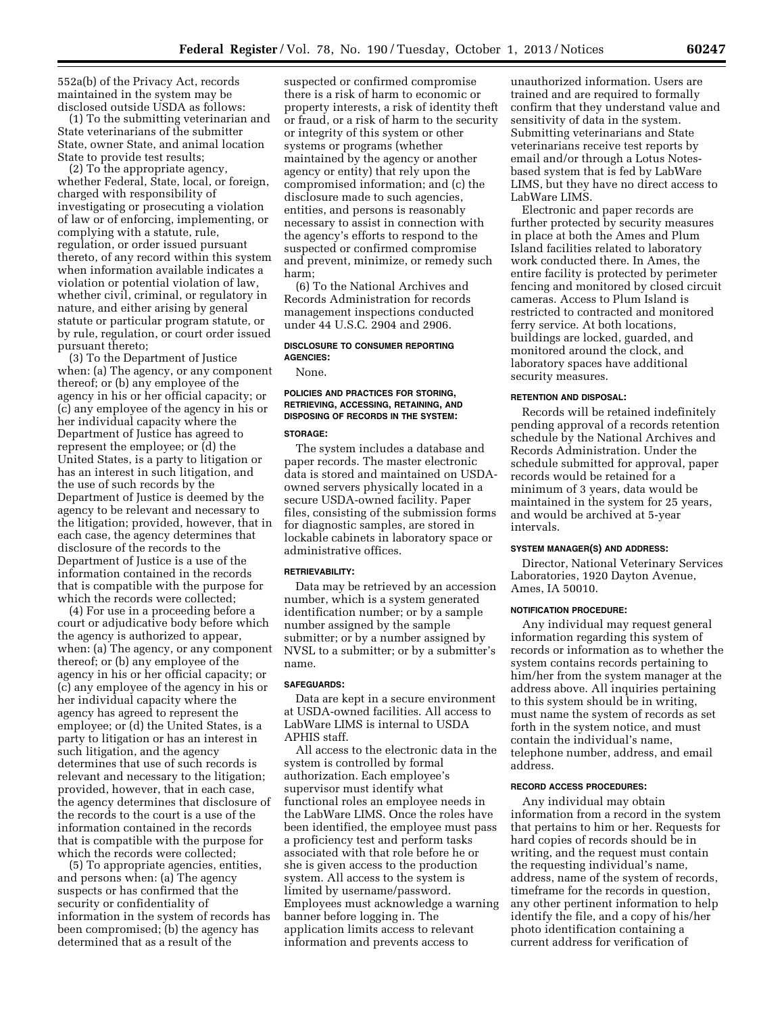552a(b) of the Privacy Act, records maintained in the system may be disclosed outside USDA as follows:

(1) To the submitting veterinarian and State veterinarians of the submitter State, owner State, and animal location State to provide test results;

(2) To the appropriate agency, whether Federal, State, local, or foreign, charged with responsibility of investigating or prosecuting a violation of law or of enforcing, implementing, or complying with a statute, rule, regulation, or order issued pursuant thereto, of any record within this system when information available indicates a violation or potential violation of law, whether civil, criminal, or regulatory in nature, and either arising by general statute or particular program statute, or by rule, regulation, or court order issued pursuant thereto;

(3) To the Department of Justice when: (a) The agency, or any component thereof; or (b) any employee of the agency in his or her official capacity; or (c) any employee of the agency in his or her individual capacity where the Department of Justice has agreed to represent the employee; or (d) the United States, is a party to litigation or has an interest in such litigation, and the use of such records by the Department of Justice is deemed by the agency to be relevant and necessary to the litigation; provided, however, that in each case, the agency determines that disclosure of the records to the Department of Justice is a use of the information contained in the records that is compatible with the purpose for which the records were collected;

(4) For use in a proceeding before a court or adjudicative body before which the agency is authorized to appear, when: (a) The agency, or any component thereof; or (b) any employee of the agency in his or her official capacity; or (c) any employee of the agency in his or her individual capacity where the agency has agreed to represent the employee; or (d) the United States, is a party to litigation or has an interest in such litigation, and the agency determines that use of such records is relevant and necessary to the litigation; provided, however, that in each case, the agency determines that disclosure of the records to the court is a use of the information contained in the records that is compatible with the purpose for which the records were collected;

(5) To appropriate agencies, entities, and persons when: (a) The agency suspects or has confirmed that the security or confidentiality of information in the system of records has been compromised; (b) the agency has determined that as a result of the

suspected or confirmed compromise there is a risk of harm to economic or property interests, a risk of identity theft or fraud, or a risk of harm to the security or integrity of this system or other systems or programs (whether maintained by the agency or another agency or entity) that rely upon the compromised information; and (c) the disclosure made to such agencies, entities, and persons is reasonably necessary to assist in connection with the agency's efforts to respond to the suspected or confirmed compromise and prevent, minimize, or remedy such harm;

(6) To the National Archives and Records Administration for records management inspections conducted under 44 U.S.C. 2904 and 2906.

# **DISCLOSURE TO CONSUMER REPORTING AGENCIES:**

None.

# **POLICIES AND PRACTICES FOR STORING, RETRIEVING, ACCESSING, RETAINING, AND DISPOSING OF RECORDS IN THE SYSTEM:**

# **STORAGE:**

The system includes a database and paper records. The master electronic data is stored and maintained on USDAowned servers physically located in a secure USDA-owned facility. Paper files, consisting of the submission forms for diagnostic samples, are stored in lockable cabinets in laboratory space or administrative offices.

### **RETRIEVABILITY:**

Data may be retrieved by an accession number, which is a system generated identification number; or by a sample number assigned by the sample submitter; or by a number assigned by NVSL to a submitter; or by a submitter's name.

# **SAFEGUARDS:**

Data are kept in a secure environment at USDA-owned facilities. All access to LabWare LIMS is internal to USDA APHIS staff.

All access to the electronic data in the system is controlled by formal authorization. Each employee's supervisor must identify what functional roles an employee needs in the LabWare LIMS. Once the roles have been identified, the employee must pass a proficiency test and perform tasks associated with that role before he or she is given access to the production system. All access to the system is limited by username/password. Employees must acknowledge a warning banner before logging in. The application limits access to relevant information and prevents access to

unauthorized information. Users are trained and are required to formally confirm that they understand value and sensitivity of data in the system. Submitting veterinarians and State veterinarians receive test reports by email and/or through a Lotus Notesbased system that is fed by LabWare LIMS, but they have no direct access to LabWare LIMS.

Electronic and paper records are further protected by security measures in place at both the Ames and Plum Island facilities related to laboratory work conducted there. In Ames, the entire facility is protected by perimeter fencing and monitored by closed circuit cameras. Access to Plum Island is restricted to contracted and monitored ferry service. At both locations, buildings are locked, guarded, and monitored around the clock, and laboratory spaces have additional security measures.

#### **RETENTION AND DISPOSAL:**

Records will be retained indefinitely pending approval of a records retention schedule by the National Archives and Records Administration. Under the schedule submitted for approval, paper records would be retained for a minimum of 3 years, data would be maintained in the system for 25 years, and would be archived at 5-year intervals.

#### **SYSTEM MANAGER(S) AND ADDRESS:**

Director, National Veterinary Services Laboratories, 1920 Dayton Avenue, Ames, IA 50010.

#### **NOTIFICATION PROCEDURE:**

Any individual may request general information regarding this system of records or information as to whether the system contains records pertaining to him/her from the system manager at the address above. All inquiries pertaining to this system should be in writing, must name the system of records as set forth in the system notice, and must contain the individual's name, telephone number, address, and email address.

# **RECORD ACCESS PROCEDURES:**

Any individual may obtain information from a record in the system that pertains to him or her. Requests for hard copies of records should be in writing, and the request must contain the requesting individual's name, address, name of the system of records, timeframe for the records in question, any other pertinent information to help identify the file, and a copy of his/her photo identification containing a current address for verification of